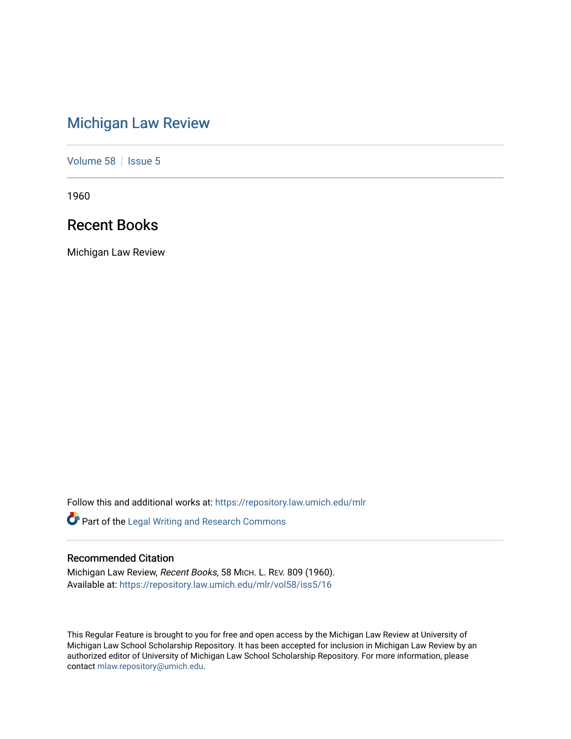# [Michigan Law Review](https://repository.law.umich.edu/mlr)

[Volume 58](https://repository.law.umich.edu/mlr/vol58) | [Issue 5](https://repository.law.umich.edu/mlr/vol58/iss5)

1960

## Recent Books

Michigan Law Review

Follow this and additional works at: [https://repository.law.umich.edu/mlr](https://repository.law.umich.edu/mlr?utm_source=repository.law.umich.edu%2Fmlr%2Fvol58%2Fiss5%2F16&utm_medium=PDF&utm_campaign=PDFCoverPages) 

Part of the [Legal Writing and Research Commons](http://network.bepress.com/hgg/discipline/614?utm_source=repository.law.umich.edu%2Fmlr%2Fvol58%2Fiss5%2F16&utm_medium=PDF&utm_campaign=PDFCoverPages) 

### Recommended Citation

Michigan Law Review, Recent Books, 58 MICH. L. REV. 809 (1960). Available at: [https://repository.law.umich.edu/mlr/vol58/iss5/16](https://repository.law.umich.edu/mlr/vol58/iss5/16?utm_source=repository.law.umich.edu%2Fmlr%2Fvol58%2Fiss5%2F16&utm_medium=PDF&utm_campaign=PDFCoverPages) 

This Regular Feature is brought to you for free and open access by the Michigan Law Review at University of Michigan Law School Scholarship Repository. It has been accepted for inclusion in Michigan Law Review by an authorized editor of University of Michigan Law School Scholarship Repository. For more information, please contact [mlaw.repository@umich.edu](mailto:mlaw.repository@umich.edu).